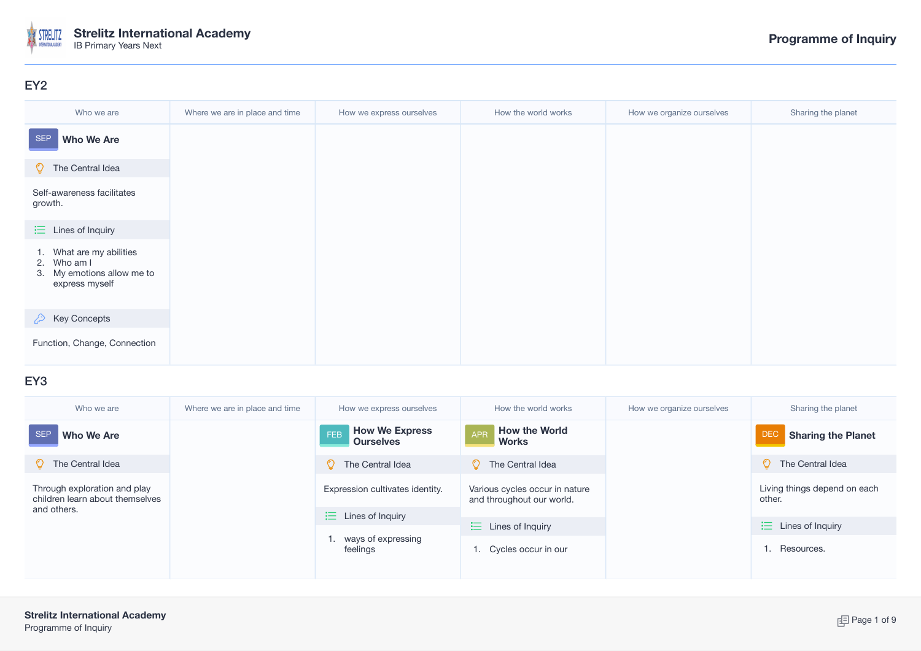

### EY2

| Who we are                                                                              | Where we are in place and time | How we express ourselves | How the world works | How we organize ourselves | Sharing the planet |
|-----------------------------------------------------------------------------------------|--------------------------------|--------------------------|---------------------|---------------------------|--------------------|
| <b>SEP</b><br>Who We Are                                                                |                                |                          |                     |                           |                    |
| $\circled{Q}$ The Central Idea                                                          |                                |                          |                     |                           |                    |
| Self-awareness facilitates<br>growth.                                                   |                                |                          |                     |                           |                    |
| $\equiv$ Lines of Inquiry                                                               |                                |                          |                     |                           |                    |
| 1. What are my abilities<br>2. Who am I<br>3. My emotions allow me to<br>express myself |                                |                          |                     |                           |                    |
| Key Concepts                                                                            |                                |                          |                     |                           |                    |
| Function, Change, Connection                                                            |                                |                          |                     |                           |                    |

# EY3

| Who we are                                                      | Where we are in place and time    | How we express ourselves                         | How the world works                                         | How we organize ourselves | Sharing the planet                      |
|-----------------------------------------------------------------|-----------------------------------|--------------------------------------------------|-------------------------------------------------------------|---------------------------|-----------------------------------------|
| <b>SER</b><br>Who We Are                                        |                                   | <b>How We Express</b><br>FEB<br><b>Ourselves</b> | <b>How the World</b><br><b>APR</b><br><b>Works</b>          |                           | <b>DEC</b><br><b>Sharing the Planet</b> |
| The Central Idea                                                |                                   | 0<br>The Central Idea                            | The Central Idea                                            |                           | ⊙<br>The Central Idea                   |
| Through exploration and play<br>children learn about themselves |                                   | Expression cultivates identity.                  | Various cycles occur in nature<br>and throughout our world. |                           | Living things depend on each<br>other.  |
| and others.                                                     |                                   | $\equiv$ Lines of Inquiry                        | $\equiv$ Lines of Inquiry                                   |                           | 追し<br>Lines of Inquiry                  |
|                                                                 | 1. ways of expressing<br>feelings | Cycles occur in our                              |                                                             | Resources.                |                                         |
|                                                                 |                                   |                                                  |                                                             |                           |                                         |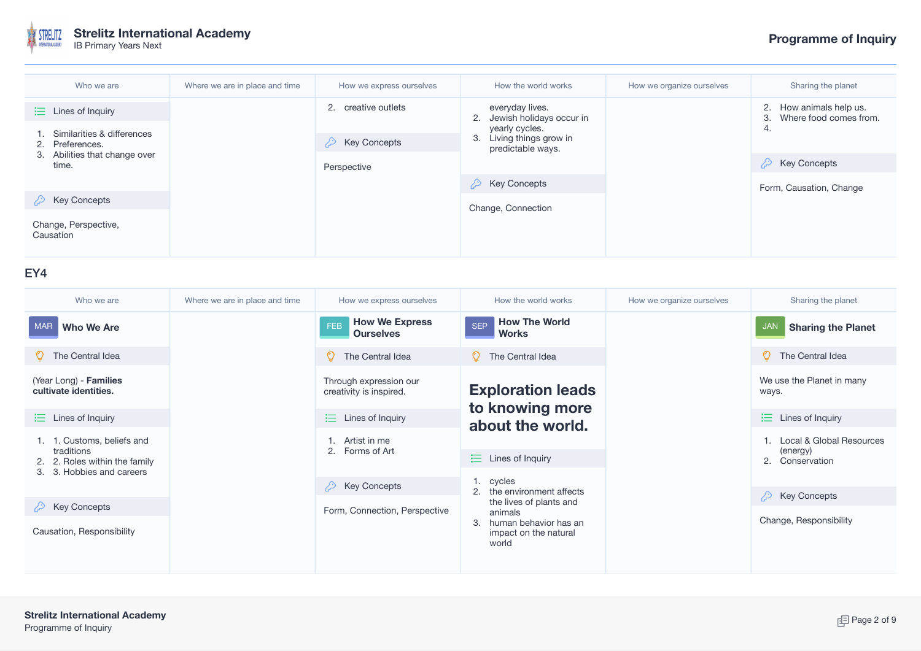

# **Strelitz International Academy** IB Primary Years Next **Programme of Inquiry**

| Who we are                                       | Where we are in place and time | How we express ourselves                             | How the world works                                                | How we organize ourselves | Sharing the planet                                         |
|--------------------------------------------------|--------------------------------|------------------------------------------------------|--------------------------------------------------------------------|---------------------------|------------------------------------------------------------|
| $\equiv$ Lines of Inquiry                        |                                | 2. creative outlets<br><b>Example 2</b> Key Concepts | everyday lives.<br>Jewish holidays occur in<br>2.                  |                           | How animals help us.<br>2.<br>Where food comes from.<br>3. |
| 1. Similarities & differences<br>2. Preferences. |                                |                                                      | yearly cycles.<br>Living things grow in<br>3.<br>predictable ways. |                           | 4.                                                         |
| 3. Abilities that change over<br>time.           |                                | Perspective                                          |                                                                    |                           | <b>Key Concepts</b><br>B.                                  |
|                                                  |                                |                                                      | <b>Key Concepts</b><br>D                                           |                           | Form, Causation, Change                                    |
| $\oslash$ Key Concepts                           |                                |                                                      | Change, Connection                                                 |                           |                                                            |
| Change, Perspective,<br>Causation                |                                |                                                      |                                                                    |                           |                                                            |

### EY4

| Who we are                                                                | Where we are in place and time | How we express ourselves                          | How the world works                                                                      | How we organize ourselves | Sharing the planet                                         |
|---------------------------------------------------------------------------|--------------------------------|---------------------------------------------------|------------------------------------------------------------------------------------------|---------------------------|------------------------------------------------------------|
| <b>MAR</b><br><b>Who We Are</b>                                           |                                | <b>How We Express</b><br>FEB<br><b>Ourselves</b>  | <b>How The World</b><br><b>SEP</b><br><b>Works</b>                                       |                           | <b>JAN</b><br><b>Sharing the Planet</b>                    |
| The Central Idea                                                          |                                | The Central Idea                                  | The Central Idea                                                                         |                           | O<br>The Central Idea                                      |
| (Year Long) - Families<br>cultivate identities.                           |                                | Through expression our<br>creativity is inspired. | <b>Exploration leads</b><br>to knowing more<br>about the world.<br>洼<br>Lines of Inquiry |                           | We use the Planet in many<br>ways.                         |
| $\equiv$ Lines of Inquiry                                                 |                                | $\equiv$ Lines of Inquiry                         |                                                                                          |                           | 注。<br>Lines of Inquiry                                     |
| 1. 1. Customs, beliefs and<br>traditions<br>2. 2. Roles within the family |                                | Artist in me<br>2. Forms of Art                   |                                                                                          |                           | Local & Global Resources<br>(energy)<br>Conservation<br>2. |
| 3. 3. Hobbies and careers                                                 |                                | $\oslash$ Key Concepts                            | 1. cycles                                                                                |                           |                                                            |
| $\oslash$ Key Concepts                                                    |                                |                                                   | the environment affects<br>2.<br>the lives of plants and                                 |                           | <b>Key Concepts</b><br>29 -                                |
| Causation, Responsibility                                                 |                                | Form, Connection, Perspective                     | animals<br>human behavior has an<br>3.<br>impact on the natural<br>world                 |                           | Change, Responsibility                                     |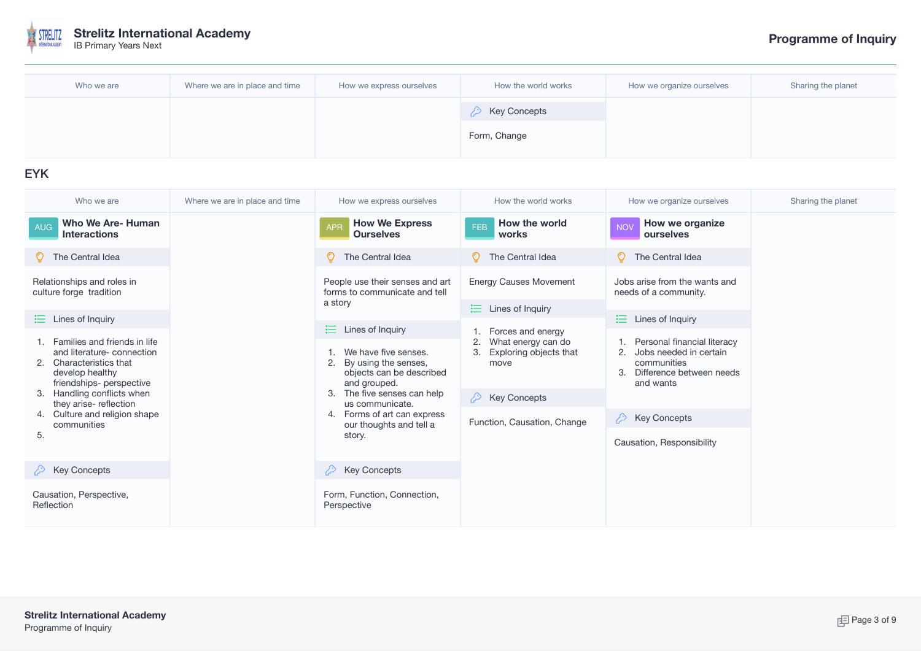

| Who we are | Where we are in place and time | How we express ourselves | How the world works | How we organize ourselves | Sharing the planet |
|------------|--------------------------------|--------------------------|---------------------|---------------------------|--------------------|
|            |                                |                          | <b>Key Concepts</b> |                           |                    |
|            |                                |                          | Form, Change        |                           |                    |
|            |                                |                          |                     |                           |                    |

EYK

| Who we are                                                                                                                                                           | Where we are in place and time | How we express ourselves                                                                                                                                      | How the world works                                                                | How we organize ourselves                                                                                                      | Sharing the planet            |                                                        |  |
|----------------------------------------------------------------------------------------------------------------------------------------------------------------------|--------------------------------|---------------------------------------------------------------------------------------------------------------------------------------------------------------|------------------------------------------------------------------------------------|--------------------------------------------------------------------------------------------------------------------------------|-------------------------------|--------------------------------------------------------|--|
| Who We Are-Human<br><b>AUG</b><br><b>Interactions</b>                                                                                                                |                                | <b>How We Express</b><br><b>APR</b><br><b>Ourselves</b>                                                                                                       | How the world<br>FEB<br>works                                                      | How we organize<br><b>NOV</b><br>ourselves                                                                                     |                               |                                                        |  |
| The Central Idea                                                                                                                                                     |                                | The Central Idea                                                                                                                                              | The Central Idea                                                                   | $\heartsuit$ The Central Idea                                                                                                  |                               |                                                        |  |
| Relationships and roles in<br>culture forge tradition                                                                                                                |                                |                                                                                                                                                               |                                                                                    | People use their senses and art<br>forms to communicate and tell<br>a story                                                    | <b>Energy Causes Movement</b> | Jobs arise from the wants and<br>needs of a community. |  |
| 這.<br>Lines of Inquiry                                                                                                                                               |                                |                                                                                                                                                               | $\equiv$ Lines of Inquiry                                                          | $\equiv$ Lines of Inquiry                                                                                                      |                               |                                                        |  |
| Families and friends in life<br>and literature-connection<br>2. Characteristics that<br>develop healthy<br>friendships- perspective<br>Handling conflicts when<br>3. |                                | $\equiv$ Lines of Inquiry<br>We have five senses.<br>2.<br>By using the senses,<br>objects can be described<br>and grouped.<br>The five senses can help<br>3. | 1. Forces and energy<br>What energy can do<br>Exploring objects that<br>3.<br>move | 1. Personal financial literacy<br>2. Jobs needed in certain<br>communities<br>Difference between needs<br>$3_{-}$<br>and wants |                               |                                                        |  |
| they arise-reflection<br>4. Culture and religion shape                                                                                                               |                                | us communicate.<br>4. Forms of art can express                                                                                                                | <b>Key Concepts</b><br>29                                                          | <b>Example 2</b> Key Concepts                                                                                                  |                               |                                                        |  |
| communities<br>5.                                                                                                                                                    |                                | our thoughts and tell a<br>story.                                                                                                                             | Function, Causation, Change                                                        | Causation, Responsibility                                                                                                      |                               |                                                        |  |
| <b>Key Concepts</b>                                                                                                                                                  |                                | $\Diamond$ Key Concepts                                                                                                                                       |                                                                                    |                                                                                                                                |                               |                                                        |  |
| Causation, Perspective,<br>Reflection                                                                                                                                |                                | Form, Function, Connection,<br>Perspective                                                                                                                    |                                                                                    |                                                                                                                                |                               |                                                        |  |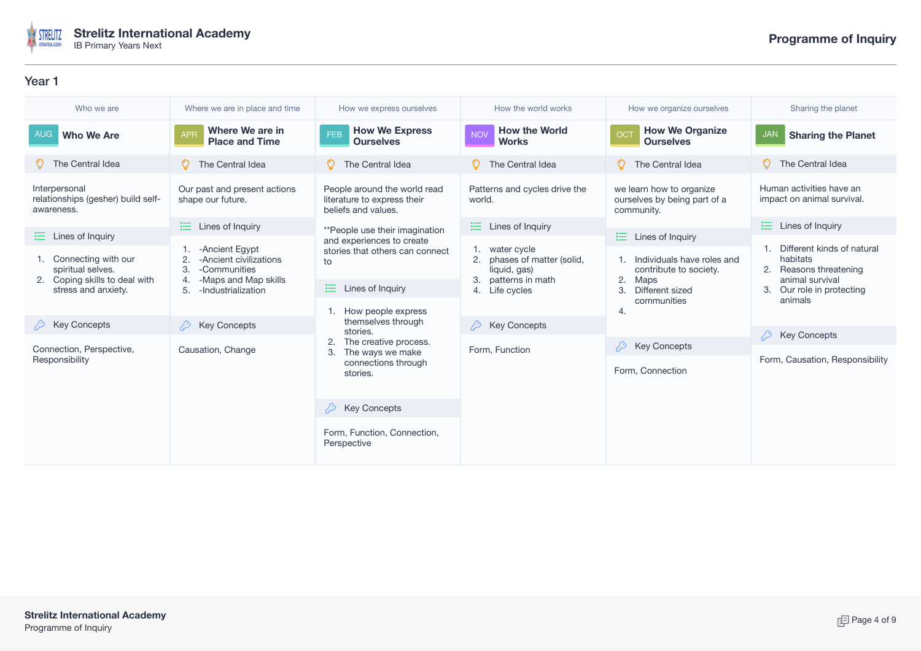

| Who we are                                                         | Where we are in place and time                                                 | How we express ourselves                                                           | How the world works                                                                                    | How we organize ourselves                                                                                  | Sharing the planet                                                                                                          |
|--------------------------------------------------------------------|--------------------------------------------------------------------------------|------------------------------------------------------------------------------------|--------------------------------------------------------------------------------------------------------|------------------------------------------------------------------------------------------------------------|-----------------------------------------------------------------------------------------------------------------------------|
| <b>AUG</b><br>Who We Are                                           | Where We are in<br><b>APR</b><br><b>Place and Time</b>                         | <b>How We Express</b><br>FEB<br><b>Ourselves</b>                                   | <b>How the World</b><br><b>NOV</b><br><b>Works</b>                                                     | <b>How We Organize</b><br><b>OCT</b><br><b>Ourselves</b>                                                   | <b>JAN</b><br><b>Sharing the Planet</b>                                                                                     |
| The Central Idea                                                   | The Central Idea                                                               | The Central Idea                                                                   | The Central Idea                                                                                       | The Central Idea                                                                                           | The Central Idea                                                                                                            |
| Interpersonal<br>relationships (gesher) build self-<br>awareness.  | Our past and present actions<br>shape our future.                              | People around the world read<br>literature to express their<br>beliefs and values. | Patterns and cycles drive the<br>world.                                                                | we learn how to organize<br>ourselves by being part of a<br>community.                                     | Human activities have an<br>impact on animal survival.                                                                      |
|                                                                    | 注<br>Lines of Inquiry                                                          | **People use their imagination                                                     | $\equiv$ Lines of Inquiry                                                                              | 這.<br>Lines of Inquiry                                                                                     | 注<br>Lines of Inquiry                                                                                                       |
| Lines of Inquiry<br>æ.<br>Connecting with our<br>spiritual selves. | -Ancient Egypt<br>$\mathbf{2}$<br>-Ancient civilizations<br>3.<br>-Communities | and experiences to create<br>stories that others can connect<br>to                 | 1. water cycle<br>2.<br>phases of matter (solid,<br>liquid, gas)<br>patterns in math<br>4. Life cycles | Individuals have roles and<br>contribute to society.<br>2.<br>Maps<br>3.<br>Different sized<br>communities | Different kinds of natural<br>habitats<br>2. Reasons threatening<br>animal survival<br>3. Our role in protecting<br>animals |
| 2. Coping skills to deal with<br>stress and anxiety.               | -Maps and Map skills<br>4.<br>5.<br>-Industrialization                         | $\equiv$ Lines of Inquiry                                                          |                                                                                                        |                                                                                                            |                                                                                                                             |
|                                                                    |                                                                                | 1. How people express                                                              |                                                                                                        | 4.                                                                                                         |                                                                                                                             |
| <b>Key Concepts</b>                                                | <b>Key Concepts</b><br>D                                                       | themselves through<br>stories.                                                     | <b>Key Concepts</b><br>₽                                                                               |                                                                                                            | ∕∑<br><b>Key Concepts</b>                                                                                                   |
| Connection, Perspective,                                           | Causation, Change                                                              | The creative process.<br>3.<br>The ways we make                                    | Form, Function                                                                                         | <b>Key Concepts</b>                                                                                        |                                                                                                                             |
| Responsibility                                                     |                                                                                | connections through<br>stories.                                                    |                                                                                                        | Form, Connection                                                                                           | Form, Causation, Responsibility                                                                                             |
|                                                                    |                                                                                | <b>EXECUTE:</b> Key Concepts                                                       |                                                                                                        |                                                                                                            |                                                                                                                             |
|                                                                    |                                                                                | Form, Function, Connection,<br>Perspective                                         |                                                                                                        |                                                                                                            |                                                                                                                             |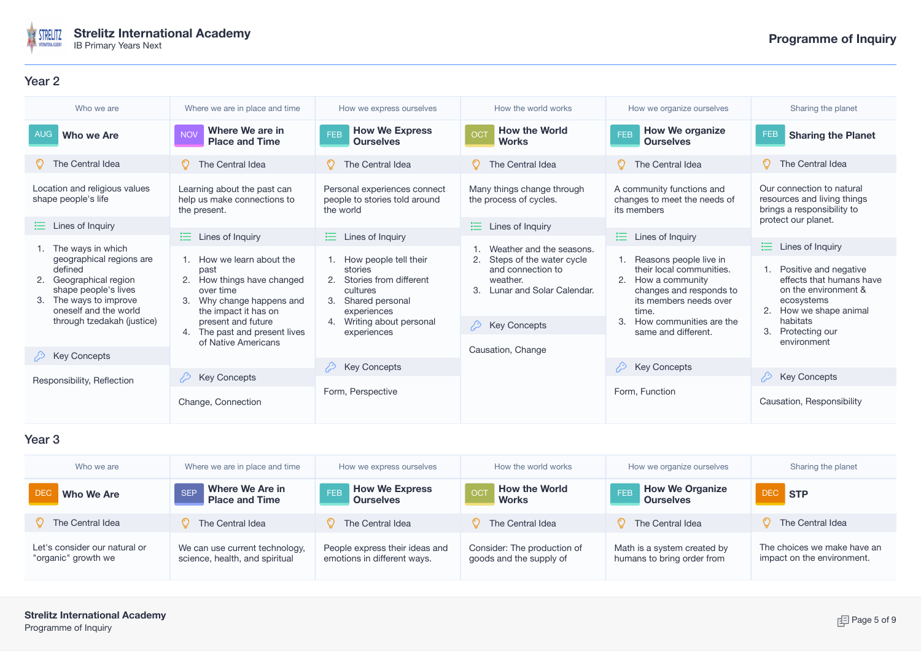

| Who we are                                                                                                                                                                                     | Where we are in place and time                                                                                                                                                                                  | How we express ourselves                                                                                                                                      | How the world works                                                                                                                                                     | How we organize ourselves                                                                                                                                                                   | Sharing the planet                                                                                                                                                                                      |
|------------------------------------------------------------------------------------------------------------------------------------------------------------------------------------------------|-----------------------------------------------------------------------------------------------------------------------------------------------------------------------------------------------------------------|---------------------------------------------------------------------------------------------------------------------------------------------------------------|-------------------------------------------------------------------------------------------------------------------------------------------------------------------------|---------------------------------------------------------------------------------------------------------------------------------------------------------------------------------------------|---------------------------------------------------------------------------------------------------------------------------------------------------------------------------------------------------------|
| <b>AUG</b><br><b>Who we Are</b>                                                                                                                                                                | Where We are in<br><b>NOV</b><br><b>Place and Time</b>                                                                                                                                                          | <b>How We Express</b><br>FEB<br><b>Ourselves</b>                                                                                                              | <b>How the World</b><br>OCT<br><b>Works</b>                                                                                                                             | <b>How We organize</b><br>FEB<br><b>Ourselves</b>                                                                                                                                           | <b>FEB</b><br><b>Sharing the Planet</b>                                                                                                                                                                 |
| The Central Idea                                                                                                                                                                               | The Central Idea                                                                                                                                                                                                | The Central Idea                                                                                                                                              | The Central Idea                                                                                                                                                        | The Central Idea                                                                                                                                                                            | The Central Idea                                                                                                                                                                                        |
| Location and religious values<br>shape people's life                                                                                                                                           | Learning about the past can<br>help us make connections to<br>the present.                                                                                                                                      | Personal experiences connect<br>people to stories told around<br>the world                                                                                    | Many things change through<br>the process of cycles.                                                                                                                    | A community functions and<br>changes to meet the needs of<br>its members                                                                                                                    | Our connection to natural<br>resources and living things<br>brings a responsibility to                                                                                                                  |
| $\equiv$ Lines of Inquiry                                                                                                                                                                      | $\equiv$ Lines of Inquiry                                                                                                                                                                                       | $\equiv$ Lines of Inquiry                                                                                                                                     | $\equiv$ Lines of Inquiry                                                                                                                                               | Lines of Inquiry<br>注                                                                                                                                                                       | protect our planet.                                                                                                                                                                                     |
| 1. The ways in which<br>geographical regions are<br>defined<br>2. Geographical region<br>shape people's lives<br>3. The ways to improve<br>oneself and the world<br>through tzedakah (justice) | How we learn about the<br>past<br>2. How things have changed<br>over time<br>Why change happens and<br>3.<br>the impact it has on<br>present and future<br>4. The past and present lives<br>of Native Americans | 1. How people tell their<br>stories<br>2. Stories from different<br>cultures<br>3. Shared personal<br>experiences<br>4. Writing about personal<br>experiences | Weather and the seasons.<br>Steps of the water cycle<br>and connection to<br>weather.<br>3. Lunar and Solar Calendar.<br><b>Key Concepts</b><br>D.<br>Causation, Change | Reasons people live in<br>their local communities.<br>How a community<br>2.<br>changes and responds to<br>its members needs over<br>time.<br>How communities are the<br>same and different. | 這.<br>Lines of Inquiry<br>Positive and negative<br>1.<br>effects that humans have<br>on the environment &<br>ecosystems<br>2.<br>How we shape animal<br>habitats<br>3.<br>Protecting our<br>environment |
| $\oslash$ Key Concepts                                                                                                                                                                         |                                                                                                                                                                                                                 | $\oslash$ Key Concepts                                                                                                                                        |                                                                                                                                                                         | $\oslash$ Key Concepts                                                                                                                                                                      |                                                                                                                                                                                                         |
| Responsibility, Reflection                                                                                                                                                                     | <b>Key Concepts</b>                                                                                                                                                                                             |                                                                                                                                                               |                                                                                                                                                                         |                                                                                                                                                                                             | ∕≥<br><b>Key Concepts</b>                                                                                                                                                                               |
|                                                                                                                                                                                                | Change, Connection                                                                                                                                                                                              | Form, Perspective                                                                                                                                             |                                                                                                                                                                         | Form, Function                                                                                                                                                                              | Causation, Responsibility                                                                                                                                                                               |

| Who we are                                           | Where we are in place and time                                   | How we express ourselves                                      | How the world works                                    | How we organize ourselves                                 | Sharing the planet                                        |
|------------------------------------------------------|------------------------------------------------------------------|---------------------------------------------------------------|--------------------------------------------------------|-----------------------------------------------------------|-----------------------------------------------------------|
| <b>Who We Are</b>                                    | Where We Are in<br><b>SEP</b><br><b>Place and Time</b>           | <b>How We Express</b><br><b>FEB</b><br><b>Ourselves</b>       | <b>How the World</b><br><b>Works</b>                   | <b>How We Organize</b><br><b>TEB</b><br><b>Ourselves</b>  | <b>DEC</b><br><b>STP</b>                                  |
| The Central Idea                                     | The Central Idea                                                 | The Central Idea                                              | The Central Idea                                       | The Central Idea                                          | The Central Idea                                          |
| Let's consider our natural or<br>"organic" growth we | We can use current technology,<br>science, health, and spiritual | People express their ideas and<br>emotions in different ways. | Consider: The production of<br>goods and the supply of | Math is a system created by<br>humans to bring order from | The choices we make have an<br>impact on the environment. |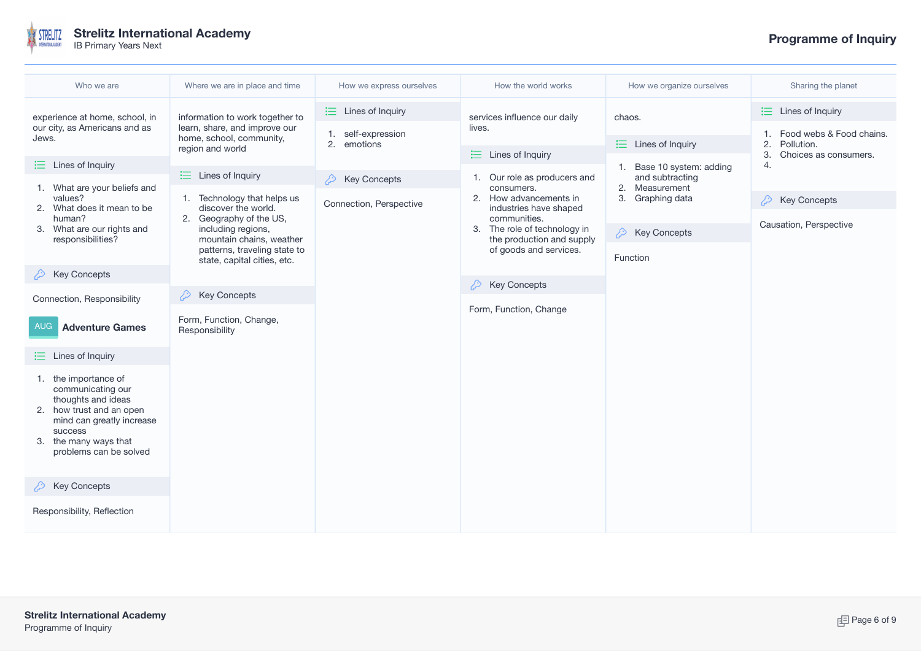

**Strelitz International Academy** IB Primary Years Next **Programme of Inquiry**

| Who we are                                                                                                                                                                                    | Where we are in place and time                                                          | How we express ourselves          | How the world works                                                    | How we organize ourselves                    | Sharing the planet                                                          |
|-----------------------------------------------------------------------------------------------------------------------------------------------------------------------------------------------|-----------------------------------------------------------------------------------------|-----------------------------------|------------------------------------------------------------------------|----------------------------------------------|-----------------------------------------------------------------------------|
| experience at home, school, in                                                                                                                                                                | information to work together to                                                         | $\equiv$ Lines of Inquiry         | services influence our daily                                           | chaos.                                       | 注<br>Lines of Inquiry                                                       |
| our city, as Americans and as<br>Jews.                                                                                                                                                        | learn, share, and improve our<br>home, school, community,<br>region and world           | 1. self-expression<br>2. emotions | lives.                                                                 | $\equiv$ Lines of Inquiry                    | Food webs & Food chains.<br>2.<br>Pollution.<br>3.<br>Choices as consumers. |
| $\equiv$ Lines of Inquiry                                                                                                                                                                     | 這.<br>Lines of Inquiry                                                                  | <b>Example 2</b> Key Concepts     | $\equiv$ Lines of Inquiry<br>1. Our role as producers and              | 1. Base 10 system: adding<br>and subtracting | 4.                                                                          |
| 1. What are your beliefs and<br>values?<br>What does it mean to be<br>2.                                                                                                                      | 1. Technology that helps us<br>discover the world.                                      | Connection, Perspective           | consumers.<br>2. How advancements in                                   | 2. Measurement<br>3. Graphing data           | <b>Key Concepts</b><br>∕∑                                                   |
| human?<br>3. What are our rights and                                                                                                                                                          | 2. Geography of the US,<br>including regions,                                           |                                   | industries have shaped<br>communities.<br>3. The role of technology in | <b>Key Concepts</b><br>D                     | Causation, Perspective                                                      |
| responsibilities?                                                                                                                                                                             | mountain chains, weather<br>patterns, traveling state to<br>state, capital cities, etc. |                                   | the production and supply<br>of goods and services.                    | Function                                     |                                                                             |
| <b>Key Concepts</b>                                                                                                                                                                           |                                                                                         |                                   | <b>Key Concepts</b><br>₽                                               |                                              |                                                                             |
| Connection, Responsibility                                                                                                                                                                    | <b>Key Concepts</b><br>₽                                                                |                                   |                                                                        |                                              |                                                                             |
| <b>AUG</b><br><b>Adventure Games</b>                                                                                                                                                          | Form, Function, Change,<br>Responsibility                                               |                                   | Form, Function, Change                                                 |                                              |                                                                             |
| $\equiv$ Lines of Inquiry                                                                                                                                                                     |                                                                                         |                                   |                                                                        |                                              |                                                                             |
| 1. the importance of<br>communicating our<br>thoughts and ideas<br>2. how trust and an open<br>mind can greatly increase<br><b>SUCCESS</b><br>3. the many ways that<br>problems can be solved |                                                                                         |                                   |                                                                        |                                              |                                                                             |
| <b>Key Concepts</b>                                                                                                                                                                           |                                                                                         |                                   |                                                                        |                                              |                                                                             |
| Responsibility, Reflection                                                                                                                                                                    |                                                                                         |                                   |                                                                        |                                              |                                                                             |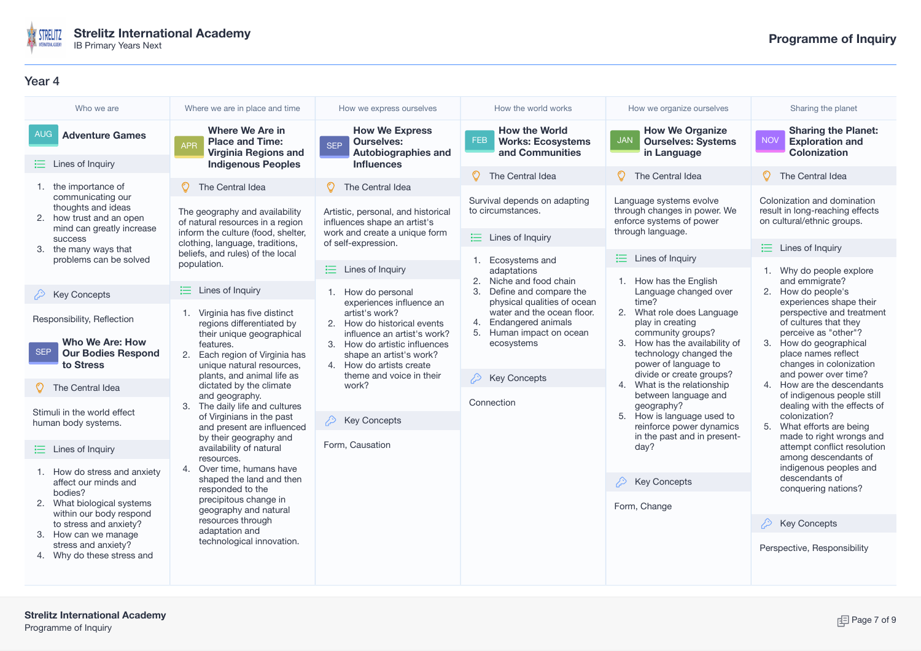

| Who we are                                                                                                                                                                                                                      | Where we are in place and time                                                                                                                                                                                               | How we express ourselves                                                                                                                                                                                                              | How the world works                                                                                                            | How we organize ourselves                                                                                                                                                                                          | Sharing the planet                                                                                                                                                                                           |
|---------------------------------------------------------------------------------------------------------------------------------------------------------------------------------------------------------------------------------|------------------------------------------------------------------------------------------------------------------------------------------------------------------------------------------------------------------------------|---------------------------------------------------------------------------------------------------------------------------------------------------------------------------------------------------------------------------------------|--------------------------------------------------------------------------------------------------------------------------------|--------------------------------------------------------------------------------------------------------------------------------------------------------------------------------------------------------------------|--------------------------------------------------------------------------------------------------------------------------------------------------------------------------------------------------------------|
| <b>AUG</b><br><b>Adventure Games</b><br>$\equiv$ Lines of Inquiry                                                                                                                                                               | Where We Are in<br><b>Place and Time:</b><br><b>APR</b><br><b>Virginia Regions and</b><br><b>Indigenous Peoples</b>                                                                                                          | <b>How We Express</b><br><b>Ourselves:</b><br><b>SEP</b><br><b>Autobiographies and</b><br><b>Influences</b>                                                                                                                           | <b>How the World</b><br><b>FEB</b><br><b>Works: Ecosystems</b><br>and Communities                                              | <b>How We Organize</b><br><b>JAN</b><br><b>Ourselves: Systems</b><br>in Language                                                                                                                                   | <b>Sharing the Planet:</b><br><b>NOV</b><br><b>Exploration and</b><br><b>Colonization</b>                                                                                                                    |
|                                                                                                                                                                                                                                 |                                                                                                                                                                                                                              |                                                                                                                                                                                                                                       | The Central Idea<br>O                                                                                                          | The Central Idea<br>O.                                                                                                                                                                                             | The Central Idea                                                                                                                                                                                             |
| 1. the importance of<br>communicating our<br>thoughts and ideas<br>2. how trust and an open<br>mind can greatly increase<br><b>SUCCESS</b>                                                                                      | The Central Idea<br>The geography and availability<br>of natural resources in a region<br>inform the culture (food, shelter,                                                                                                 | $\circ$<br>The Central Idea<br>Artistic, personal, and historical<br>influences shape an artist's<br>work and create a unique form                                                                                                    | Survival depends on adapting<br>to circumstances.<br>$\equiv$ Lines of Inquiry                                                 | Language systems evolve<br>through changes in power. We<br>enforce systems of power<br>through language.                                                                                                           | Colonization and domination<br>result in long-reaching effects<br>on cultural/ethnic groups.                                                                                                                 |
| 3. the many ways that                                                                                                                                                                                                           | clothing, language, traditions,<br>beliefs, and rules) of the local                                                                                                                                                          | of self-expression.                                                                                                                                                                                                                   |                                                                                                                                |                                                                                                                                                                                                                    | $\equiv$ Lines of Inquiry                                                                                                                                                                                    |
| problems can be solved                                                                                                                                                                                                          | population.                                                                                                                                                                                                                  | $\equiv$ Lines of Inquiry                                                                                                                                                                                                             | 1. Ecosystems and<br>adaptations                                                                                               | $\equiv$ Lines of Inquiry                                                                                                                                                                                          | 1. Why do people explore                                                                                                                                                                                     |
| <b>Key Concepts</b>                                                                                                                                                                                                             | Lines of Inquiry                                                                                                                                                                                                             | 1. How do personal                                                                                                                                                                                                                    | 2. Niche and food chain<br>3. Define and compare the<br>physical qualities of ocean                                            | 1. How has the English<br>Language changed over<br>time?                                                                                                                                                           | and emmigrate?<br>2. How do people's<br>experiences shape their                                                                                                                                              |
| Responsibility, Reflection<br><b>Who We Are: How</b><br><b>SEP</b><br><b>Our Bodies Respond</b><br>to Stress<br>The Central Idea                                                                                                | 1. Virginia has five distinct<br>regions differentiated by<br>their unique geographical<br>features.<br>2. Each region of Virginia has<br>unique natural resources,<br>plants, and animal life as<br>dictated by the climate | experiences influence an<br>artist's work?<br>2. How do historical events<br>influence an artist's work?<br>3. How do artistic influences<br>shape an artist's work?<br>4. How do artists create<br>theme and voice in their<br>work? | water and the ocean floor.<br>4.<br><b>Endangered animals</b><br>5. Human impact on ocean<br>ecosystems<br><b>Key Concepts</b> | 2. What role does Language<br>play in creating<br>community groups?<br>3. How has the availability of<br>technology changed the<br>power of language to<br>divide or create groups?<br>4. What is the relationship | perspective and treatment<br>of cultures that they<br>perceive as "other"?<br>3. How do geographical<br>place names reflect<br>changes in colonization<br>and power over time?<br>4. How are the descendants |
| Stimuli in the world effect<br>human body systems.<br>$\equiv$ Lines of Inquiry                                                                                                                                                 | and geography.<br>The daily life and cultures<br>3.<br>of Virginians in the past<br>and present are influenced<br>by their geography and<br>availability of natural                                                          | <b>Key Concepts</b><br>B.<br>Form, Causation                                                                                                                                                                                          | Connection                                                                                                                     | between language and<br>geography?<br>5. How is language used to<br>reinforce power dynamics<br>in the past and in present-<br>day?                                                                                | of indigenous people still<br>dealing with the effects of<br>colonization?<br>5.<br>What efforts are being<br>made to right wrongs and<br>attempt conflict resolution                                        |
| 1. How do stress and anxiety<br>affect our minds and<br>bodies?<br>2. What biological systems<br>within our body respond<br>to stress and anxiety?<br>3. How can we manage<br>stress and anxiety?<br>4. Why do these stress and | resources.<br>Over time, humans have<br>4.<br>shaped the land and then<br>responded to the<br>precipitous change in<br>geography and natural<br>resources through<br>adaptation and<br>technological innovation.             |                                                                                                                                                                                                                                       |                                                                                                                                | <b>Key Concepts</b><br>Form, Change                                                                                                                                                                                | among descendants of<br>indigenous peoples and<br>descendants of<br>conquering nations?<br><b>Key Concepts</b><br>Perspective, Responsibility                                                                |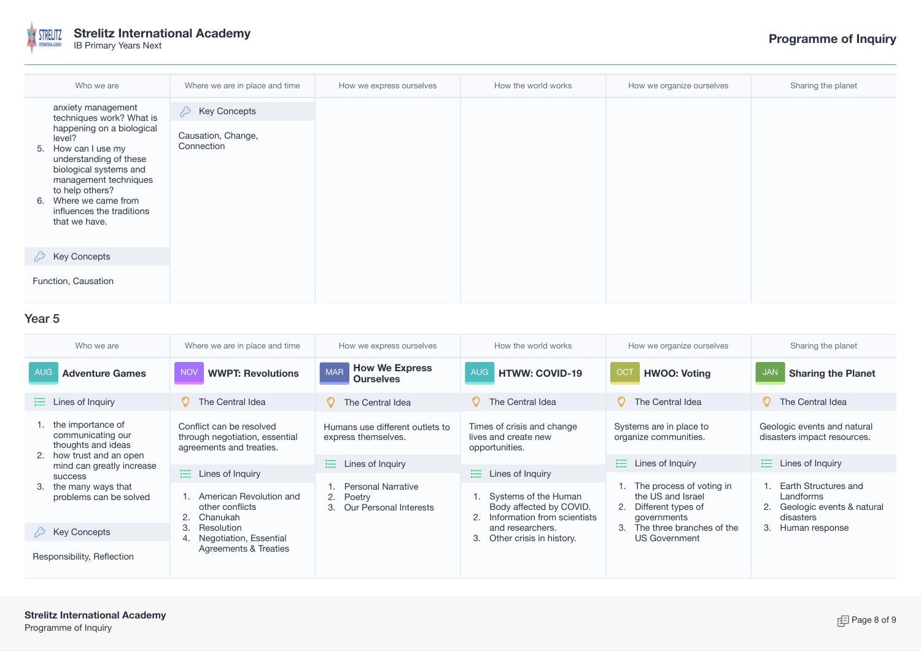

| Who we are                                                                                                                                                                                                                        | Where we are in place and time   | How we express ourselves | How the world works | How we organize ourselves | Sharing the planet |
|-----------------------------------------------------------------------------------------------------------------------------------------------------------------------------------------------------------------------------------|----------------------------------|--------------------------|---------------------|---------------------------|--------------------|
| anxiety management<br>techniques work? What is                                                                                                                                                                                    | <b>Key Concepts</b><br>D         |                          |                     |                           |                    |
| happening on a biological<br>level?<br>5. How can I use my<br>understanding of these<br>biological systems and<br>management techniques<br>to help others?<br>6. Where we came from<br>influences the traditions<br>that we have. | Causation, Change,<br>Connection |                          |                     |                           |                    |
| <b>EXACTLE Key Concepts</b>                                                                                                                                                                                                       |                                  |                          |                     |                           |                    |
| Function, Causation                                                                                                                                                                                                               |                                  |                          |                     |                           |                    |

| Who we are                                                                                                                                                                                       | Where we are in place and time                                                                                             | How we express ourselves                                                       | How the world works                                                                                                                  | How we organize ourselves                                                                                                                        | Sharing the planet                                                                                        |
|--------------------------------------------------------------------------------------------------------------------------------------------------------------------------------------------------|----------------------------------------------------------------------------------------------------------------------------|--------------------------------------------------------------------------------|--------------------------------------------------------------------------------------------------------------------------------------|--------------------------------------------------------------------------------------------------------------------------------------------------|-----------------------------------------------------------------------------------------------------------|
| <b>AUG</b><br><b>Adventure Games</b>                                                                                                                                                             | <b>NOV</b><br><b>WWPT: Revolutions</b>                                                                                     | <b>How We Express</b><br><b>MAR</b><br><b>Ourselves</b>                        | <b>AUG</b><br><b>HTWW: COVID-19</b>                                                                                                  | <b>OCT</b><br><b>HWOO: Voting</b>                                                                                                                | <b>JAN</b><br><b>Sharing the Planet</b>                                                                   |
| $\equiv$ Lines of Inquiry                                                                                                                                                                        | The Central Idea                                                                                                           | The Central Idea                                                               | The Central Idea                                                                                                                     | $\heartsuit$ The Central Idea                                                                                                                    | $\circ$<br>The Central Idea                                                                               |
| the importance of<br>communicating our<br>thoughts and ideas<br>how trust and an open<br>2.<br>mind can greatly increase<br><b>SUCCESS</b><br>the many ways that<br>3.<br>problems can be solved | Conflict can be resolved<br>through negotiation, essential<br>agreements and treaties.                                     | Humans use different outlets to<br>express themselves.                         | Times of crisis and change<br>lives and create new<br>opportunities.                                                                 | Systems are in place to<br>organize communities.                                                                                                 | Geologic events and natural<br>disasters impact resources.                                                |
|                                                                                                                                                                                                  | $\equiv$ Lines of Inquiry                                                                                                  | $\equiv$ Lines of Inquiry                                                      | $\equiv$ Lines of Inquiry                                                                                                            | $\equiv$ Lines of Inquiry                                                                                                                        | 1三 -<br>Lines of Inquiry                                                                                  |
|                                                                                                                                                                                                  | 1. American Revolution and<br>other conflicts<br>Chanukah<br>Resolution<br>Negotiation, Essential<br>Agreements & Treaties | <b>Personal Narrative</b><br>Poetry<br>2.<br>Our Personal Interests<br>$3_{-}$ | Systems of the Human<br>Body affected by COVID.<br>Information from scientists<br>and researchers.<br>Other crisis in history.<br>З. | 1. The process of voting in<br>the US and Israel<br>2. Different types of<br>governments<br>3. The three branches of the<br><b>US Government</b> | Earth Structures and<br>Landforms<br>Geologic events & natural<br>2.<br>disasters<br>Human response<br>3. |
| <b>Key Concepts</b><br>B.                                                                                                                                                                        |                                                                                                                            |                                                                                |                                                                                                                                      |                                                                                                                                                  |                                                                                                           |
| Responsibility, Reflection                                                                                                                                                                       |                                                                                                                            |                                                                                |                                                                                                                                      |                                                                                                                                                  |                                                                                                           |